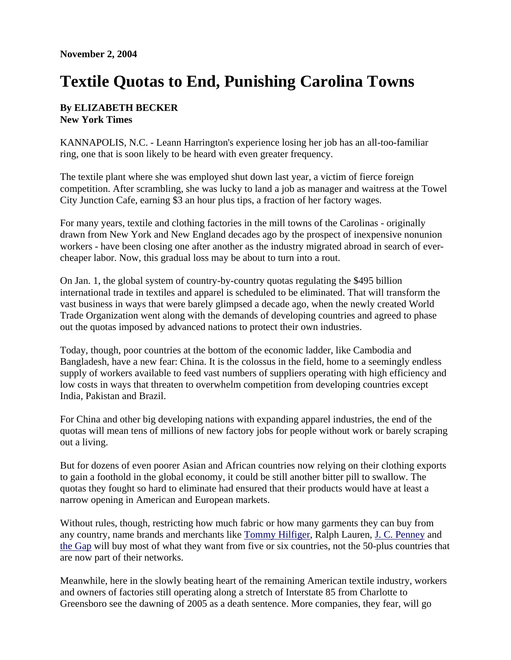## **Textile Quotas to End, Punishing Carolina Towns**

## **By ELIZABETH BECKER New York Times**

KANNAPOLIS, N.C. - Leann Harrington's experience losing her job has an all-too-familiar ring, one that is soon likely to be heard with even greater frequency.

The textile plant where she was employed shut down last year, a victim of fierce foreign competition. After scrambling, she was lucky to land a job as manager and waitress at the Towel City Junction Cafe, earning \$3 an hour plus tips, a fraction of her factory wages.

For many years, textile and clothing factories in the mill towns of the Carolinas - originally drawn from New York and New England decades ago by the prospect of inexpensive nonunion workers - have been closing one after another as the industry migrated abroad in search of evercheaper labor. Now, this gradual loss may be about to turn into a rout.

On Jan. 1, the global system of country-by-country quotas regulating the \$495 billion international trade in textiles and apparel is scheduled to be eliminated. That will transform the vast business in ways that were barely glimpsed a decade ago, when the newly created World Trade Organization went along with the demands of developing countries and agreed to phase out the quotas imposed by advanced nations to protect their own industries.

Today, though, poor countries at the bottom of the economic ladder, like Cambodia and Bangladesh, have a new fear: China. It is the colossus in the field, home to a seemingly endless supply of workers available to feed vast numbers of suppliers operating with high efficiency and low costs in ways that threaten to overwhelm competition from developing countries except India, Pakistan and Brazil.

For China and other big developing nations with expanding apparel industries, the end of the quotas will mean tens of millions of new factory jobs for people without work or barely scraping out a living.

But for dozens of even poorer Asian and African countries now relying on their clothing exports to gain a foothold in the global economy, it could be still another bitter pill to swallow. The quotas they fought so hard to eliminate had ensured that their products would have at least a narrow opening in American and European markets.

Without rules, though, restricting how much fabric or how many garments they can buy from any country, name brands and merchants like Tommy Hilfiger, Ralph Lauren, J. C. Penney and the Gap will buy most of what they want from five or six countries, not the 50-plus countries that are now part of their networks.

Meanwhile, here in the slowly beating heart of the remaining American textile industry, workers and owners of factories still operating along a stretch of Interstate 85 from Charlotte to Greensboro see the dawning of 2005 as a death sentence. More companies, they fear, will go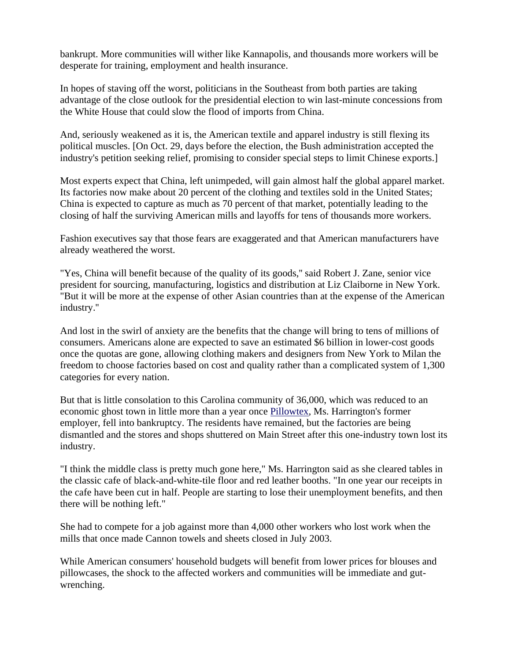bankrupt. More communities will wither like Kannapolis, and thousands more workers will be desperate for training, employment and health insurance.

In hopes of staving off the worst, politicians in the Southeast from both parties are taking advantage of the close outlook for the presidential election to win last-minute concessions from the White House that could slow the flood of imports from China.

And, seriously weakened as it is, the American textile and apparel industry is still flexing its political muscles. [On Oct. 29, days before the election, the Bush administration accepted the industry's petition seeking relief, promising to consider special steps to limit Chinese exports.]

Most experts expect that China, left unimpeded, will gain almost half the global apparel market. Its factories now make about 20 percent of the clothing and textiles sold in the United States; China is expected to capture as much as 70 percent of that market, potentially leading to the closing of half the surviving American mills and layoffs for tens of thousands more workers.

Fashion executives say that those fears are exaggerated and that American manufacturers have already weathered the worst.

"Yes, China will benefit because of the quality of its goods," said Robert J. Zane, senior vice president for sourcing, manufacturing, logistics and distribution at Liz Claiborne in New York. "But it will be more at the expense of other Asian countries than at the expense of the American industry.''

And lost in the swirl of anxiety are the benefits that the change will bring to tens of millions of consumers. Americans alone are expected to save an estimated \$6 billion in lower-cost goods once the quotas are gone, allowing clothing makers and designers from New York to Milan the freedom to choose factories based on cost and quality rather than a complicated system of 1,300 categories for every nation.

But that is little consolation to this Carolina community of 36,000, which was reduced to an economic ghost town in little more than a year once Pillowtex, Ms. Harrington's former employer, fell into bankruptcy. The residents have remained, but the factories are being dismantled and the stores and shops shuttered on Main Street after this one-industry town lost its industry.

"I think the middle class is pretty much gone here," Ms. Harrington said as she cleared tables in the classic cafe of black-and-white-tile floor and red leather booths. "In one year our receipts in the cafe have been cut in half. People are starting to lose their unemployment benefits, and then there will be nothing left."

She had to compete for a job against more than 4,000 other workers who lost work when the mills that once made Cannon towels and sheets closed in July 2003.

While American consumers' household budgets will benefit from lower prices for blouses and pillowcases, the shock to the affected workers and communities will be immediate and gutwrenching.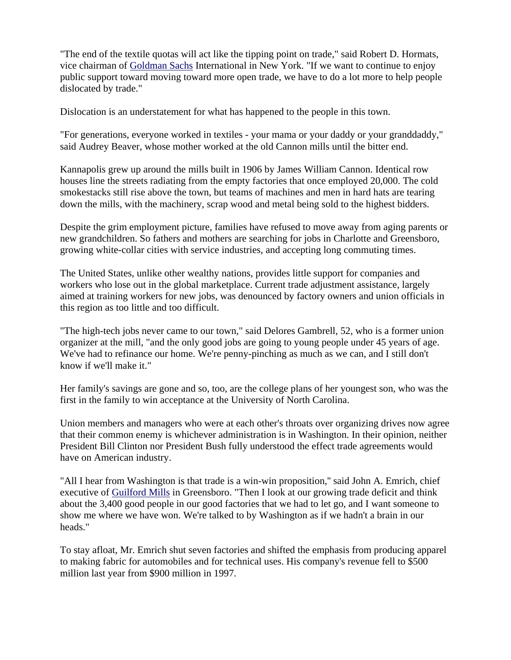"The end of the textile quotas will act like the tipping point on trade," said Robert D. Hormats, vice chairman of Goldman Sachs International in New York. "If we want to continue to enjoy public support toward moving toward more open trade, we have to do a lot more to help people dislocated by trade."

Dislocation is an understatement for what has happened to the people in this town.

"For generations, everyone worked in textiles - your mama or your daddy or your granddaddy," said Audrey Beaver, whose mother worked at the old Cannon mills until the bitter end.

Kannapolis grew up around the mills built in 1906 by James William Cannon. Identical row houses line the streets radiating from the empty factories that once employed 20,000. The cold smokestacks still rise above the town, but teams of machines and men in hard hats are tearing down the mills, with the machinery, scrap wood and metal being sold to the highest bidders.

Despite the grim employment picture, families have refused to move away from aging parents or new grandchildren. So fathers and mothers are searching for jobs in Charlotte and Greensboro, growing white-collar cities with service industries, and accepting long commuting times.

The United States, unlike other wealthy nations, provides little support for companies and workers who lose out in the global marketplace. Current trade adjustment assistance, largely aimed at training workers for new jobs, was denounced by factory owners and union officials in this region as too little and too difficult.

"The high-tech jobs never came to our town," said Delores Gambrell, 52, who is a former union organizer at the mill, "and the only good jobs are going to young people under 45 years of age. We've had to refinance our home. We're penny-pinching as much as we can, and I still don't know if we'll make it."

Her family's savings are gone and so, too, are the college plans of her youngest son, who was the first in the family to win acceptance at the University of North Carolina.

Union members and managers who were at each other's throats over organizing drives now agree that their common enemy is whichever administration is in Washington. In their opinion, neither President Bill Clinton nor President Bush fully understood the effect trade agreements would have on American industry.

"All I hear from Washington is that trade is a win-win proposition,'' said John A. Emrich, chief executive of Guilford Mills in Greensboro. "Then I look at our growing trade deficit and think about the 3,400 good people in our good factories that we had to let go, and I want someone to show me where we have won. We're talked to by Washington as if we hadn't a brain in our heads."

To stay afloat, Mr. Emrich shut seven factories and shifted the emphasis from producing apparel to making fabric for automobiles and for technical uses. His company's revenue fell to \$500 million last year from \$900 million in 1997.